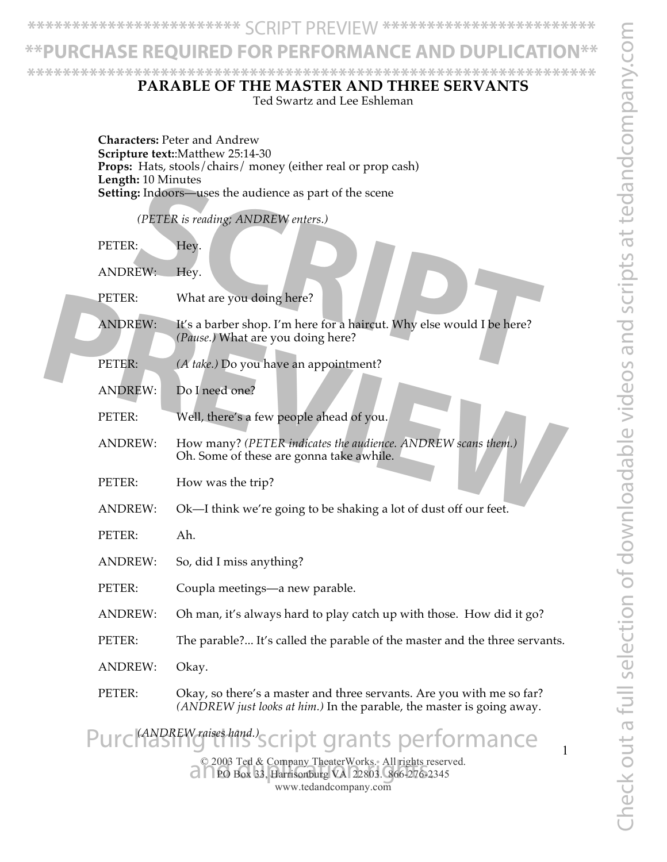**\*\*\*\*\*\*\*\*\*\*\*\*\*\*\*\*\*\*\*\*\*\*\*\*** SCRIPT PREVIEW **\*\*\*\*\*\*\*\*\*\*\*\*\*\*\*\*\*\*\*\*\*\*\*\***

**\*\*PURCHASE REQUIRED FOR PERFORMANCE AND DUPLICATION\*\* \*\*\*\*\*\*\*\*\*\*\*\*\*\*\*\*\*\*\*\*\*\*\*\*\*\*\*\*\*\*\*\*\*\*\*\*\*\*\*\*\*\*\*\*\*\*\*\*\*\*\*\*\*\*\*\*\*\*\*\*\*\*\*\***

### **PARABLE OF THE MASTER AND THREE SERVANTS**

Ted Swartz and Lee Eshleman

**Characters:** Peter and Andrew **Scripture text:**:Matthew 25:14-30 **Props:** Hats, stools/chairs/ money (either real or prop cash) **Length:** 10 Minutes **Setting:** Indoors—uses the audience as part of the scene

### *(PETER is reading; ANDREW enters.)*

| Lengui. To <i>Millities</i><br><b>Setting:</b> Indoors—uses the audience as part of the scene |                |                                                                                                                                                |  |  |
|-----------------------------------------------------------------------------------------------|----------------|------------------------------------------------------------------------------------------------------------------------------------------------|--|--|
|                                                                                               |                | (PETER is reading; ANDREW enters.)                                                                                                             |  |  |
|                                                                                               | PETER:         | Hey.                                                                                                                                           |  |  |
|                                                                                               | ANDREW:        | Hey.                                                                                                                                           |  |  |
|                                                                                               | PETER:         | What are you doing here?                                                                                                                       |  |  |
|                                                                                               | <b>ANDREW:</b> | It's a barber shop. I'm here for a haircut. Why else would I be here?<br>(Pause.) What are you doing here?                                     |  |  |
|                                                                                               | PETER:         | (A take.) Do you have an appointment?                                                                                                          |  |  |
|                                                                                               | <b>ANDREW:</b> | Do I need one?                                                                                                                                 |  |  |
|                                                                                               | PETER:         | Well, there's a few people ahead of you.                                                                                                       |  |  |
|                                                                                               | <b>ANDREW:</b> | How many? (PETER indicates the audience. ANDREW scans them.)<br>Oh. Some of these are gonna take awhile.                                       |  |  |
|                                                                                               | PETER:         | How was the trip?                                                                                                                              |  |  |
|                                                                                               | <b>ANDREW:</b> | Ok—I think we're going to be shaking a lot of dust off our feet.                                                                               |  |  |
|                                                                                               | PETER:         | Ah.                                                                                                                                            |  |  |
|                                                                                               | <b>ANDREW:</b> | So, did I miss anything?                                                                                                                       |  |  |
|                                                                                               | PETER:         | Coupla meetings-a new parable.                                                                                                                 |  |  |
|                                                                                               | <b>ANDREW:</b> | Oh man, it's always hard to play catch up with those. How did it go?                                                                           |  |  |
|                                                                                               | PETER:         | The parable? It's called the parable of the master and the three servants.                                                                     |  |  |
|                                                                                               | ANDREW:        | Okay.                                                                                                                                          |  |  |
|                                                                                               | PETER:         | Okay, so there's a master and three servants. Are you with me so far?<br>(ANDREW just looks at him.) In the parable, the master is going away. |  |  |
| Purclashew raises hand.)<br>cript grants performance                                          |                |                                                                                                                                                |  |  |
|                                                                                               |                | © 2003 Ted & Company TheaterWorks. All rights reserved.<br>PO Box 33, Harrisonburg VA 22803. 866-276-2345                                      |  |  |

www.tedandcompany.com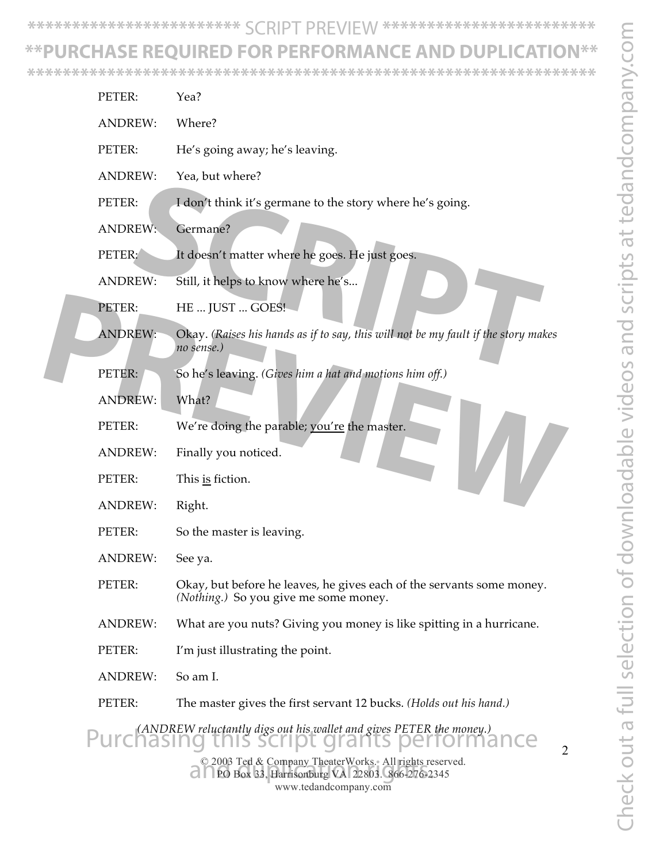Check out a full selection of downloadable videos and scripts at tedandcompany.com Check out a full selection of downloadable videos and scripts at tedandcompany.com

**\*\*\*\*\*\*\*\*\*\*\*\*\*\*\*\*\*\*\*\*\*\*\*\*** SCRIPT PREVIEW **\*\*\*\*\*\*\*\*\*\*\*\*\*\*\*\*\*\*\*\*\*\*\*\***

# **\*\*PURCHASE REQUIRED FOR PERFORMANCE AND DUPLICATION\*\***

**\*\*\*\*\*\*\*\*\*\*\*\*\*\*\*\*\*\*\*\*\*\*\*\*\*\*\*\*\*\*\*\*\*\*\*\*\*\*\*\*\*\*\*\*\*\*\*\*\*\*\*\*\*\*\*\*\*\*\*\*\*\*\*\***

| PETER:         | Yea?                                                                                                                                                                                         |
|----------------|----------------------------------------------------------------------------------------------------------------------------------------------------------------------------------------------|
| <b>ANDREW:</b> | Where?                                                                                                                                                                                       |
| PETER:         | He's going away; he's leaving.                                                                                                                                                               |
| <b>ANDREW:</b> | Yea, but where?                                                                                                                                                                              |
| PETER:         | I don't think it's germane to the story where he's going.                                                                                                                                    |
| <b>ANDREW:</b> | Germane?                                                                                                                                                                                     |
| PETER:         | It doesn't matter where he goes. He just goes.                                                                                                                                               |
| <b>ANDREW:</b> | Still, it helps to know where he's                                                                                                                                                           |
| PETER:         | HE  JUST  GOES!                                                                                                                                                                              |
| <b>ANDREW:</b> | Okay. (Raises his hands as if to say, this will not be my fault if the story makes<br>no sense.)                                                                                             |
| PETER:         | So he's leaving. (Gives him a hat and motions him off.)                                                                                                                                      |
| <b>ANDREW:</b> | What?                                                                                                                                                                                        |
| PETER:         | We're doing the parable; you're the master.                                                                                                                                                  |
| <b>ANDREW:</b> | Finally you noticed.                                                                                                                                                                         |
| PETER:         | This is fiction.                                                                                                                                                                             |
| <b>ANDREW:</b> | Right.                                                                                                                                                                                       |
| PETER:         | So the master is leaving.                                                                                                                                                                    |
| <b>ANDREW:</b> | See ya.                                                                                                                                                                                      |
| PETER:         | Okay, but before he leaves, he gives each of the servants some money.<br>(Nothing.) So you give me some money.                                                                               |
| <b>ANDREW:</b> | What are you nuts? Giving you money is like spitting in a hurricane.                                                                                                                         |
| PETER:         | I'm just illustrating the point.                                                                                                                                                             |
| <b>ANDREW:</b> | So am I.                                                                                                                                                                                     |
| PETER:         | The master gives the first servant 12 bucks. (Holds out his hand.)                                                                                                                           |
| Purchasin      | (ANDREW reluctantly digs out his wallet and gives PETER the money.)<br>prmance<br>rants be<br>IS SCI ID<br>$\overline{2}$<br>$\frac{1}{2}$ f Company TheotorWorks $\lambda$ U rights reserve |
|                |                                                                                                                                                                                              |

© 2003 Ted & Company TheaterWorks. All rights reserved. © 2003 Ted & Company TheaterWorks. All rights resere<br>
∂ ∩ PO Box 33, Harrisonburg VA 22803. 866-276-2345 www.tedandcompany.com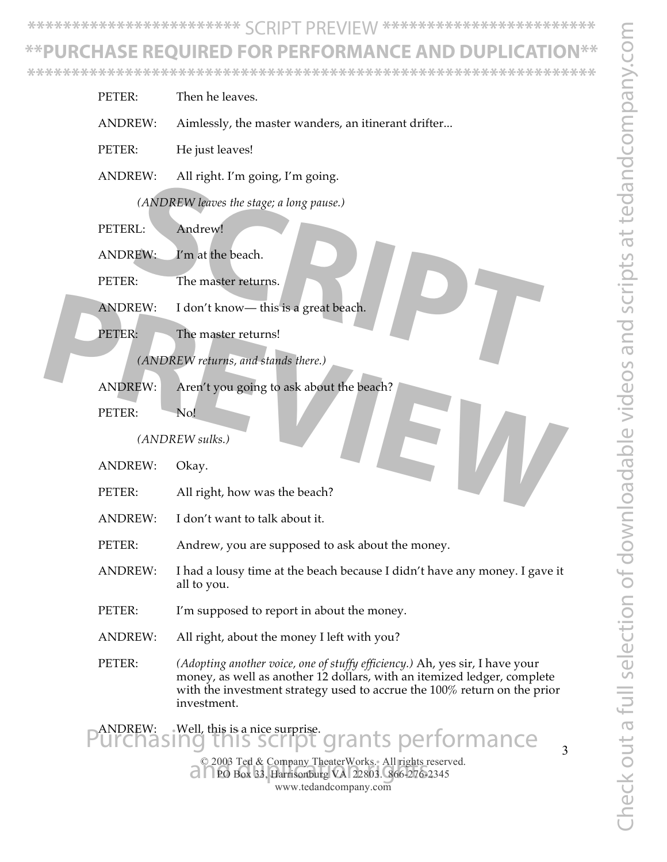Check out a full selection of downloadable videos and scripts at tedandcompany.com Theck out a full selection of downloadable videos and scripts at tedandcompany.con

3

**\*\*\*\*\*\*\*\*\*\*\*\*\*\*\*\*\*\*\*\*\*\*\*\*** SCRIPT PREVIEW **\*\*\*\*\*\*\*\*\*\*\*\*\*\*\*\*\*\*\*\*\*\*\*\***

# **\* HASE REQUIRED FOR PERFORMANCE AND DUP**

**\*\*\*\*\*\*\*\*\*\*\*\*\*\*\*\*\*\*\*\*\*\*\*\*\*\*\*\*\*\*\*\*\*\*\*\*\*\*\*\*\*\*\*\*\*\*\*\*\*\*\*\*\*\*\*\*\*\*\*\*\*\*\*\***

- PETER: Then he leaves.
- ANDREW: Aimlessly, the master wanders, an itinerant drifter...
- PETER: He just leaves!
- ANDREW: All right. I'm going, I'm going.

*(ANDREW leaves the stage; a long pause.)*

- PETERL: Andrew!
- ANDREW: I'm at the beach.
- PETER: The master returns.
- ANDREW: I don't know— this is a great beach. (ANDREW leaves the stage; a long pause.)<br>
R.L.: Andrew!<br>
H. EW: I'm at the beach.<br>
SCRIPT AND ACT AND ACT AND ACT AND ACT AND ACT AND ACT AND ACT AND ACT AND ACT AND ACT AND ACT AND ACT AND ACT AND ACT AND ACT AND ACT AND
- PETER: The master returns!

*(ANDREW returns, and stands there.)*

- ANDREW: Aren't you going to ask about the beach? **EXERUTER:** The master returns!<br>
ANDREW returns, and stands there.)<br>
ANDREW: Aren't you going to ask about the beach?<br>
PETER: No!<br>
(ANDREW sulks.)<br>
PETER: No!<br>
PETER: All right, how was the beach?
	- PETER: No!

*(ANDREW sulks.)*

- ANDREW: Okay.
- PETER: All right, how was the beach?
- ANDREW: I don't want to talk about it.

PETER: Andrew, you are supposed to ask about the money.

- ANDREW: I had a lousy time at the beach because I didn't have any money. I gave it all to you.
- PETER: I'm supposed to report in about the money.
- ANDREW: All right, about the money I left with you?
- PETER: *(Adopting another voice, one of stuffy efficiency.)* Ah, yes sir, I have your money, as well as another 12 dollars, with an itemized ledger, complete with the investment strategy used to accrue the 100% return on the prior investment.

© 2003 Ted & Company TheaterWorks. All rights reserved. © 2003 Ted & Company TheaterWorks. All rights resere<br>
∂ ∩ PO Box 33, Harrisonburg VA 22803. 866-276-2345 www.tedandcompany.com ANDREW: Well, this is a nice surprise.<br>UIC NASING THIS SCIIDT GITALLS DELTOIMANCE Purchasing this script grants performance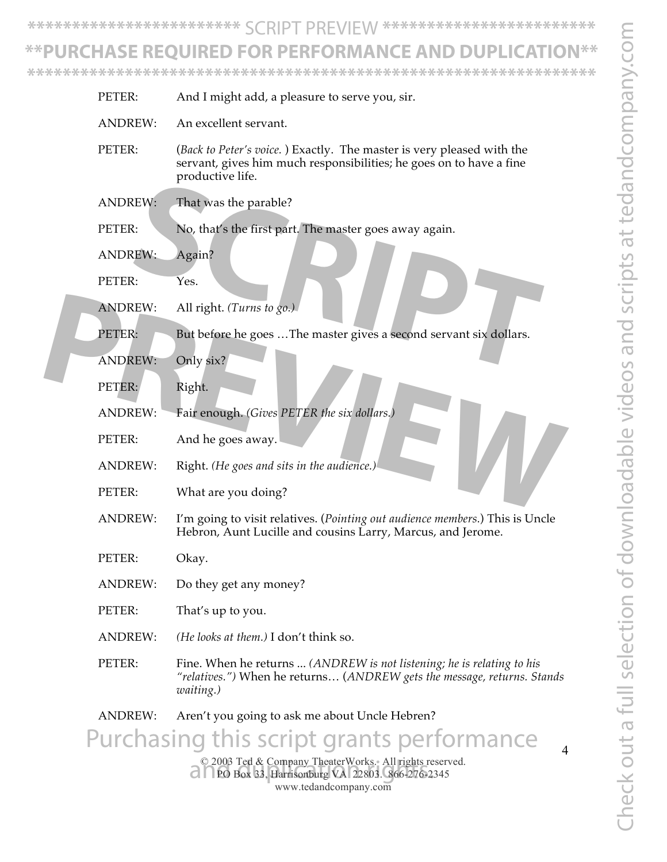**\*\*\*\*\*\*\*\*\*\*\*\*\*\*\*\*\*\*\*\*\*\*\*\*** SCRIPT PREVIEW **\*\*\*\*\*\*\*\*\*\*\*\*\*\*\*\*\*\*\*\*\*\*\*\***

# **\*\*PURCHASE REQUIRED FOR PERFORMANCE AND DUPLICATION\*\***

**\*\*\*\*\*\*\*\*\*\*\*\*\*\*\*\*\*\*\*\*\*\*\*\*\*\*\*\*\*\*\*\*\*\*\*\*\*\*\*\*\*\*\*\*\*\*\*\*\*\*\*\*\*\*\*\*\*\*\*\*\*\*\*\***

|  | PETER:         | And I might add, a pleasure to serve you, sir.                                                                                                                   |
|--|----------------|------------------------------------------------------------------------------------------------------------------------------------------------------------------|
|  | <b>ANDREW:</b> | An excellent servant.                                                                                                                                            |
|  | PETER:         | (Back to Peter's voice.) Exactly. The master is very pleased with the<br>servant, gives him much responsibilities; he goes on to have a fine<br>productive life. |
|  | <b>ANDREW:</b> | That was the parable?                                                                                                                                            |
|  | PETER:         | No, that's the first part. The master goes away again.                                                                                                           |
|  | <b>ANDREW:</b> | Again?                                                                                                                                                           |
|  | PETER:         | Yes.                                                                                                                                                             |
|  | <b>ANDREW:</b> | All right. (Turns to go.)                                                                                                                                        |
|  | PETER:         | But before he goes  The master gives a second servant six dollars.                                                                                               |
|  | <b>ANDREW:</b> | Only six?                                                                                                                                                        |
|  | PETER:         | Right.                                                                                                                                                           |
|  | <b>ANDREW:</b> | Fair enough. (Gives PETER the six dollars.)                                                                                                                      |
|  | PETER:         | And he goes away.                                                                                                                                                |
|  | <b>ANDREW:</b> | Right. (He goes and sits in the audience.)                                                                                                                       |
|  | PETER:         | What are you doing?                                                                                                                                              |
|  | <b>ANDREW:</b> | I'm going to visit relatives. (Pointing out audience members.) This is Uncle<br>Hebron, Aunt Lucille and cousins Larry, Marcus, and Jerome.                      |
|  | PETER:         | Okay.                                                                                                                                                            |
|  | <b>ANDREW:</b> | Do they get any money?                                                                                                                                           |
|  | PETER:         | That's up to you.                                                                                                                                                |
|  | <b>ANDREW:</b> | (He looks at them.) I don't think so.                                                                                                                            |
|  | PETER:         | Fine. When he returns  (ANDREW is not listening; he is relating to his<br>"relatives.") When he returns (ANDREW gets the message, returns. Stands<br>waiting.)   |
|  | <b>ANDREW:</b> | Aren't you going to ask me about Uncle Hebren?                                                                                                                   |
|  |                | Purchasing this script grants performance                                                                                                                        |
|  |                | © 2003 Ted & Company TheaterWorks. All rights reserved.<br>PO Box 33, Harrisonburg VA 22803. 866-276-2345<br>www.tedandcompany.com                               |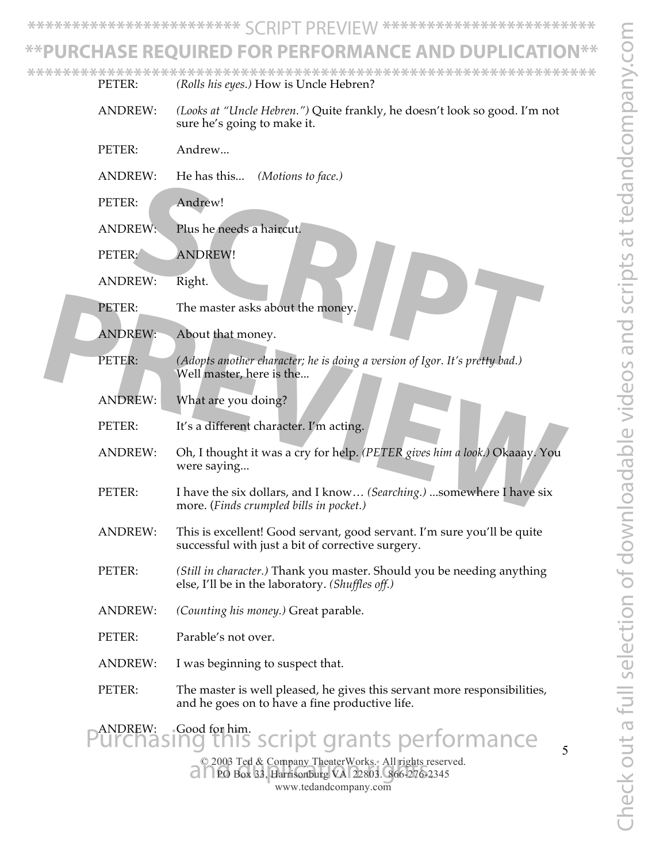**\*\*\*\*\*\*\*\*\*\*\*\*\*\*\*\*\*\*\*\*\*\*\*\*** SCRIPT PREVIEW **\*\*\*\*\*\*\*\*\*\*\*\*\*\*\*\*\*\*\*\*\*\*\*\***

### PURCHASE REQUIRED FOR PERFORMANCE AND DUP**I**

PETER: *(Rolls his eyes.)* How is Uncle Hebren? **\*\*\*\*\*\*\*\*\*\*\*\*\*\*\*\*\*\*\*\*\*\*\*\*\*\*\*\*\*\*\*\*\*\*\*\*\*\*\*\*\*\*\*\*\*\*\*\*\*\*\*\*\*\*\*\*\*\*\*\*\*\*\*\***

- ANDREW: *(Looks at "Uncle Hebren.")* Quite frankly, he doesn't look so good. I'm not sure he's going to make it.
- PETER: Andrew...
- ANDREW: He has this... *(Motions to face.)*
- PETER: Andrew!
- ANDREW: Plus he needs a haircut.
- PETER: ANDREW!
- ANDREW: Right.
- PETER: The master asks about the money.
- ANDREW: About that money.
- PETER: *(Adopts another character; he is doing a version of Igor. It's pretty bad.)* Well master, here is the... REW: Andrew!<br>
REW: Plus he needs a haircut.<br>
SCRIPT Right.<br>
SCRIPT REW: Right.<br>
SCRIPT REW: About that money.<br>
SCRIPT REW: About that money.<br>
SCRIPT REW: About that money.<br>
SCRIPT REW: About that money.<br>
SCRIPT REW: Adopts
- ANDREW: What are you doing?
- PETER: It's a different character. I'm acting.
- ANDREW: Oh, I thought it was a cry for help. *(PETER gives him a look.)* Okaaay. You were saying... **PETER:** The master asks about the money.<br> **PETER:** (Adopts another character; he is doing a version of Igor. It's pretty bad.)<br>
Well master, here is the...<br> **PETER:** It's a different character. I'm acting.<br> **PETER:** It's
	- PETER: I have the six dollars, and I know… *(Searching.)* ...somewhere I have six more. (*Finds crumpled bills in pocket.)*
	- ANDREW: This is excellent! Good servant, good servant. I'm sure you'll be quite successful with just a bit of corrective surgery.
	- PETER: *(Still in character.)* Thank you master. Should you be needing anything else, I'll be in the laboratory. *(Shuffles off.)*
	- ANDREW: *(Counting his money.)* Great parable.
	- PETER: Parable's not over.
	- ANDREW: I was beginning to suspect that.
	- PETER: The master is well pleased, he gives this servant more responsibilities, and he goes on to have a fine productive life.

Purchasing this script grants performance

© 2003 Ted & Company TheaterWorks. All rights reserved. © 2003 Ted & Company TheaterWorks. All rights resere<br>
∂ ∩ PO Box 33, Harrisonburg VA 22803. 866-276-2345 www.tedandcompany.com

5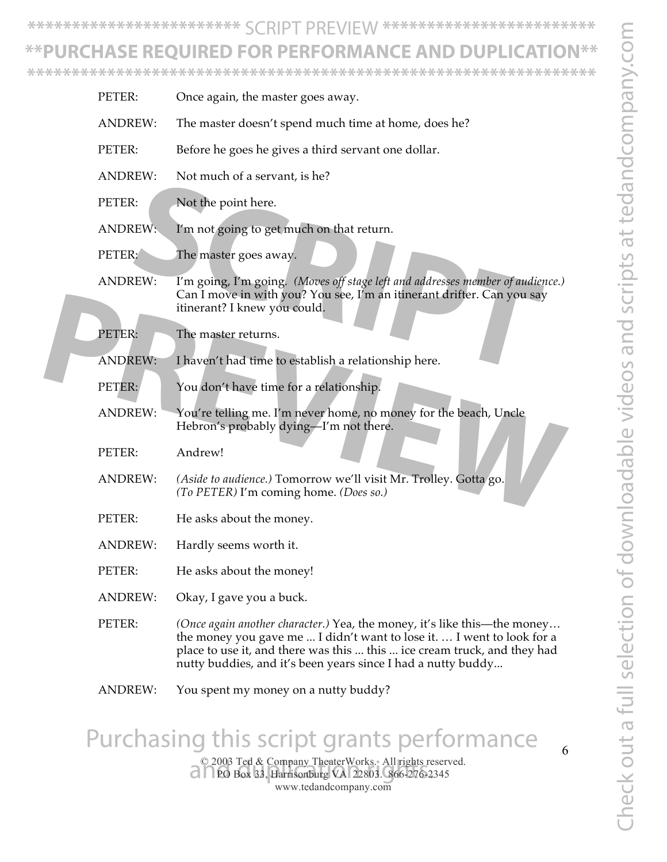6

**\*\*\*\*\*\*\*\*\*\*\*\*\*\*\*\*\*\*\*\*\*\*\*\*** SCRIPT PREVIEW **\*\*\*\*\*\*\*\*\*\*\*\*\*\*\*\*\*\*\*\*\*\*\*\***

### **\*\*PURCHASE REQUIRED FOR PERFORMANCE AND DUPLICATION\*\***

**\*\*\*\*\*\*\*\*\*\*\*\*\*\*\*\*\*\*\*\*\*\*\*\*\*\*\*\*\*\*\*\*\*\*\*\*\*\*\*\*\*\*\*\*\*\*\*\*\*\*\*\*\*\*\*\*\*\*\*\*\*\*\*\***

|  | PETER:         | Once again, the master goes away.                                                                                                                                                                                                                                                              |
|--|----------------|------------------------------------------------------------------------------------------------------------------------------------------------------------------------------------------------------------------------------------------------------------------------------------------------|
|  | <b>ANDREW:</b> | The master doesn't spend much time at home, does he?                                                                                                                                                                                                                                           |
|  | PETER:         | Before he goes he gives a third servant one dollar.                                                                                                                                                                                                                                            |
|  | <b>ANDREW:</b> | Not much of a servant, is he?                                                                                                                                                                                                                                                                  |
|  | PETER:         | Not the point here.                                                                                                                                                                                                                                                                            |
|  | <b>ANDREW:</b> | I'm not going to get much on that return.                                                                                                                                                                                                                                                      |
|  | PETER:         | The master goes away.                                                                                                                                                                                                                                                                          |
|  | <b>ANDREW:</b> | I'm going, I'm going. (Moves off stage left and addresses member of audience.)<br>Can I move in with you? You see, I'm an itinerant drifter. Can you say<br>itinerant? I knew you could.                                                                                                       |
|  | PETER:         | The master returns.                                                                                                                                                                                                                                                                            |
|  | <b>ANDREW:</b> | I haven't had time to establish a relationship here.                                                                                                                                                                                                                                           |
|  | PETER:         | You don't have time for a relationship.                                                                                                                                                                                                                                                        |
|  | <b>ANDREW:</b> | You're telling me. I'm never home, no money for the beach, Uncle<br>Hebron's probably dying—I'm not there.                                                                                                                                                                                     |
|  | PETER:         | Andrew!                                                                                                                                                                                                                                                                                        |
|  | <b>ANDREW:</b> | (Aside to audience.) Tomorrow we'll visit Mr. Trolley. Gotta go.<br>(To PETER) I'm coming home. (Does so.)                                                                                                                                                                                     |
|  | PETER:         | He asks about the money.                                                                                                                                                                                                                                                                       |
|  | <b>ANDREW:</b> | Hardly seems worth it.                                                                                                                                                                                                                                                                         |
|  | PETER:         | He asks about the money!                                                                                                                                                                                                                                                                       |
|  | <b>ANDREW:</b> | Okay, I gave you a buck.                                                                                                                                                                                                                                                                       |
|  | PETER:         | (Once again another character.) Yea, the money, it's like this—the money<br>the money you gave me  I didn't want to lose it.  I went to look for a<br>place to use it, and there was this  this  ice cream truck, and they had<br>nutty buddies, and it's been years since I had a nutty buddy |
|  | <b>ANDREW:</b> | You spent my money on a nutty buddy?                                                                                                                                                                                                                                                           |
|  |                | Purchasing this script grants performance                                                                                                                                                                                                                                                      |

© 2003 Ted & Company TheaterWorks. All rights reserved. © 2003 Ted & Company TheaterWorks. All rights resere<br>
∂ ∩ PO Box 33, Harrisonburg VA 22803. 866-276-2345 www.tedandcompany.com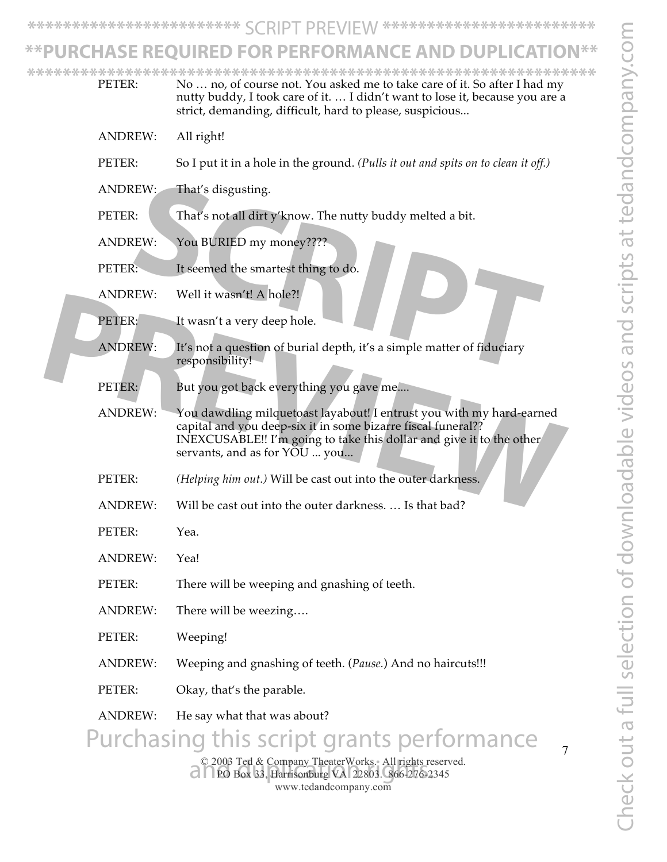Check out a full selection of downloadable videos and scripts at tedandcompany.com Theck out a full selection of downloadable videos and scripts at tedandcompany.com

**\*\*\*\*\*\*\*\*\*\*\*\*\*\*\*\*\*\*\*\*\*\*\*\*** SCRIPT PREVIEW **\*\*\*\*\*\*\*\*\*\*\*\*\*\*\*\*\*\*\*\*\*\*\*\***

# **\*\*PURCHASE REQUIRED FOR PERFORMANCE AND DUPLICATION\*\***

© 2003 Ted & Company TheaterWorks. All rights reserved. © 2003 Ted & Company TheaterWorks. All rights resere<br>
∂ ∩ PO Box 33, Harrisonburg VA 22803. 866-276-2345 www.tedandcompany.com 7 PETER: No ... no, of course not. You asked me to take care of it. So after I had my nutty buddy, I took care of it. … I didn't want to lose it, because you are a strict, demanding, difficult, hard to please, suspicious... ANDREW: All right! PETER: So I put it in a hole in the ground. *(Pulls it out and spits on to clean it off.)* ANDREW: That's disgusting. PETER: That's not all dirt y'know. The nutty buddy melted a bit. ANDREW: You BURIED my money???? PETER: It seemed the smartest thing to do. ANDREW: Well it wasn't! A hole?! PETER: It wasn't a very deep hole. ANDREW: It's not a question of burial depth, it's a simple matter of fiduciary responsibility! PETER: But you got back everything you gave me.... ANDREW: You dawdling milquetoast layabout! I entrust you with my hard-earned capital and you deep-six it in some bizarre fiscal funeral?? INEXCUSABLE!! I'm going to take this dollar and give it to the other servants, and as for YOU ... you... PETER: *(Helping him out.)* Will be cast out into the outer darkness. ANDREW: Will be cast out into the outer darkness. … Is that bad? PETER: Yea. ANDREW: Yea! PETER: There will be weeping and gnashing of teeth. ANDREW: There will be weezing…. PETER: Weeping! ANDREW: Weeping and gnashing of teeth. (*Pause.*) And no haircuts!!! PETER: Okay, that's the parable. ANDREW: He say what that was about? XEW: That's disgusting.<br>
X: That's not all dirt y'know. The nutty buddy melted a bit.<br>
X: You BURIED my money????<br>
X: It seemed the smartest thing to do.<br>
X: Well it wasn't A hole?!<br>
X: It wasn't a very deep hole.<br>
X: It's **PETER:** It wasn't a very deep hole.<br> **PETER:** It wasn't a very deep hole.<br> **ANDREW:** It's not a question of burial depth, it's a simple matter of fiduciary<br>
responsibility!<br>
PETER: But you got back everything you gave me. Purchasing this script grants performance **\*\*\*\*\*\*\*\*\*\*\*\*\*\*\*\*\*\*\*\*\*\*\*\*\*\*\*\*\*\*\*\*\*\*\*\*\*\*\*\*\*\*\*\*\*\*\*\*\*\*\*\*\*\*\*\*\*\*\*\*\*\*\*\***